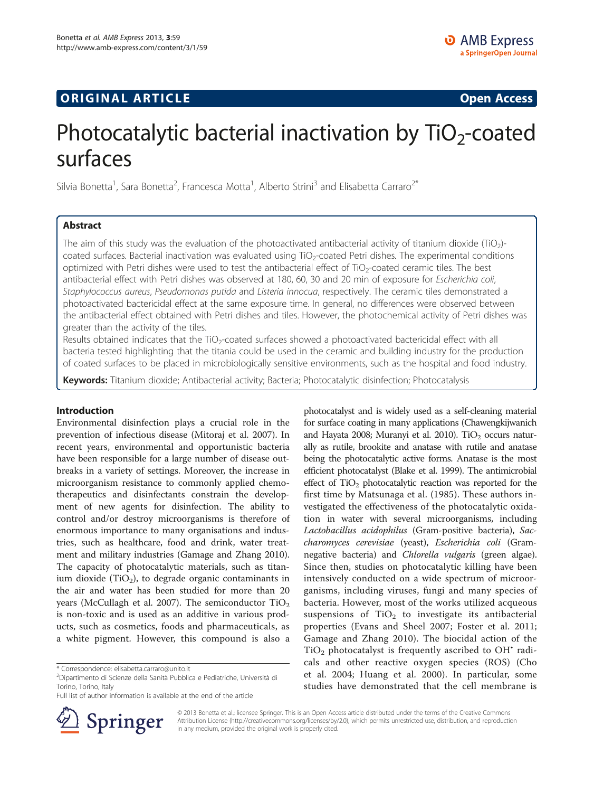# **ORIGINAL ARTICLE CONSUMING A LIGACION CONSUMING A LIGACION CONSUMING A LIGACION**

# Photocatalytic bacterial inactivation by  $TiO<sub>2</sub>$ -coated surfaces

Silvia Bonetta<sup>1</sup>, Sara Bonetta<sup>2</sup>, Francesca Motta<sup>1</sup>, Alberto Strini<sup>3</sup> and Elisabetta Carraro<sup>2\*</sup>

# Abstract

The aim of this study was the evaluation of the photoactivated antibacterial activity of titanium dioxide (TiO<sub>2</sub>)coated surfaces. Bacterial inactivation was evaluated using TiO<sub>2</sub>-coated Petri dishes. The experimental conditions optimized with Petri dishes were used to test the antibacterial effect of  $TiO<sub>2</sub>$ -coated ceramic tiles. The best antibacterial effect with Petri dishes was observed at 180, 60, 30 and 20 min of exposure for Escherichia coli, Staphylococcus aureus, Pseudomonas putida and Listeria innocua, respectively. The ceramic tiles demonstrated a photoactivated bactericidal effect at the same exposure time. In general, no differences were observed between the antibacterial effect obtained with Petri dishes and tiles. However, the photochemical activity of Petri dishes was greater than the activity of the tiles.

Results obtained indicates that the TiO<sub>2</sub>-coated surfaces showed a photoactivated bactericidal effect with all bacteria tested highlighting that the titania could be used in the ceramic and building industry for the production of coated surfaces to be placed in microbiologically sensitive environments, such as the hospital and food industry.

Keywords: Titanium dioxide; Antibacterial activity; Bacteria; Photocatalytic disinfection; Photocatalysis

## Introduction

Environmental disinfection plays a crucial role in the prevention of infectious disease (Mitoraj et al. [2007\)](#page-7-0). In recent years, environmental and opportunistic bacteria have been responsible for a large number of disease outbreaks in a variety of settings. Moreover, the increase in microorganism resistance to commonly applied chemotherapeutics and disinfectants constrain the development of new agents for disinfection. The ability to control and/or destroy microorganisms is therefore of enormous importance to many organisations and industries, such as healthcare, food and drink, water treatment and military industries (Gamage and Zhang [2010](#page-7-0)). The capacity of photocatalytic materials, such as titanium dioxide (TiO<sub>2</sub>), to degrade organic contaminants in the air and water has been studied for more than 20 years (McCullagh et al. [2007\)](#page-7-0). The semiconductor TiO<sub>2</sub> is non-toxic and is used as an additive in various products, such as cosmetics, foods and pharmaceuticals, as a white pigment. However, this compound is also a

Full list of author information is available at the end of the article



photocatalyst and is widely used as a self-cleaning material for surface coating in many applications (Chawengkijwanich and Hayata [2008](#page-7-0); Muranyi et al. [2010\)](#page-7-0). Ti $O_2$  occurs naturally as rutile, brookite and anatase with rutile and anatase being the photocatalytic active forms. Anatase is the most efficient photocatalyst (Blake et al. [1999\)](#page-7-0). The antimicrobial effect of  $TiO<sub>2</sub>$  photocatalytic reaction was reported for the first time by Matsunaga et al. ([1985](#page-7-0)). These authors investigated the effectiveness of the photocatalytic oxidation in water with several microorganisms, including Lactobacillus acidophilus (Gram-positive bacteria), Saccharomyces cerevisiae (yeast), Escherichia coli (Gramnegative bacteria) and Chlorella vulgaris (green algae). Since then, studies on photocatalytic killing have been intensively conducted on a wide spectrum of microorganisms, including viruses, fungi and many species of bacteria. However, most of the works utilized acqueous suspensions of  $TiO<sub>2</sub>$  to investigate its antibacterial properties (Evans and Sheel [2007;](#page-7-0) Foster et al. [2011](#page-7-0); Gamage and Zhang [2010](#page-7-0)). The biocidal action of the  $TiO<sub>2</sub>$  photocatalyst is frequently ascribed to OH $^{\star}$  radicals and other reactive oxygen species (ROS) (Cho et al. [2004](#page-7-0); Huang et al. [2000](#page-7-0)). In particular, some studies have demonstrated that the cell membrane is

© 2013 Bonetta et al.; licensee Springer. This is an Open Access article distributed under the terms of the Creative Commons Attribution License [\(http://creativecommons.org/licenses/by/2.0\)](http://creativecommons.org/licenses/by/2.0), which permits unrestricted use, distribution, and reproduction in any medium, provided the original work is properly cited.

<sup>\*</sup> Correspondence: [elisabetta.carraro@unito.it](mailto:elisabetta.carraro@unito.it) <sup>2</sup>

<sup>&</sup>lt;sup>2</sup>Dipartimento di Scienze della Sanità Pubblica e Pediatriche, Università di Torino, Torino, Italy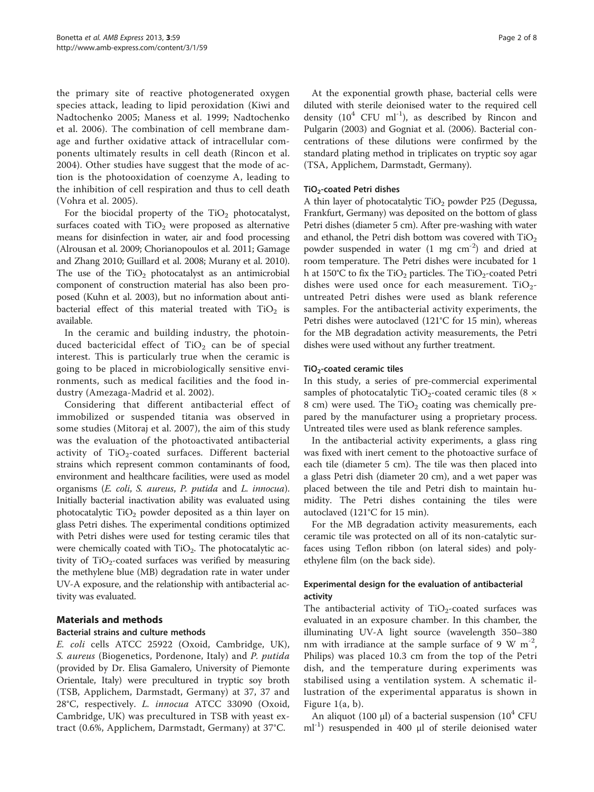the primary site of reactive photogenerated oxygen species attack, leading to lipid peroxidation (Kiwi and Nadtochenko [2005;](#page-7-0) Maness et al. [1999](#page-7-0); Nadtochenko et al. [2006](#page-7-0)). The combination of cell membrane damage and further oxidative attack of intracellular components ultimately results in cell death (Rincon et al. [2004\)](#page-7-0). Other studies have suggest that the mode of action is the photooxidation of coenzyme A, leading to the inhibition of cell respiration and thus to cell death (Vohra et al. [2005\)](#page-7-0).

For the biocidal property of the  $TiO<sub>2</sub>$  photocatalyst, surfaces coated with  $TiO<sub>2</sub>$  were proposed as alternative means for disinfection in water, air and food processing (Alrousan et al. [2009](#page-6-0); Chorianopoulos et al. [2011;](#page-7-0) Gamage and Zhang [2010](#page-7-0); Guillard et al. [2008](#page-7-0); Murany et al. [2010](#page-7-0)). The use of the  $TiO<sub>2</sub>$  photocatalyst as an antimicrobial component of construction material has also been proposed (Kuhn et al. [2003\)](#page-7-0), but no information about antibacterial effect of this material treated with  $TiO<sub>2</sub>$  is available.

In the ceramic and building industry, the photoinduced bactericidal effect of  $TiO<sub>2</sub>$  can be of special interest. This is particularly true when the ceramic is going to be placed in microbiologically sensitive environments, such as medical facilities and the food industry (Amezaga-Madrid et al. [2002](#page-6-0)).

Considering that different antibacterial effect of immobilized or suspended titania was observed in some studies (Mitoraj et al. [2007](#page-7-0)), the aim of this study was the evaluation of the photoactivated antibacterial activity of  $TiO<sub>2</sub>$ -coated surfaces. Different bacterial strains which represent common contaminants of food, environment and healthcare facilities, were used as model organisms (E. coli, S. aureus, P. putida and L. innocua). Initially bacterial inactivation ability was evaluated using photocatalytic  $TiO<sub>2</sub>$  powder deposited as a thin layer on glass Petri dishes. The experimental conditions optimized with Petri dishes were used for testing ceramic tiles that were chemically coated with  $TiO<sub>2</sub>$ . The photocatalytic activity of  $TiO<sub>2</sub>$ -coated surfaces was verified by measuring the methylene blue (MB) degradation rate in water under UV-A exposure, and the relationship with antibacterial activity was evaluated.

# Materials and methods

# Bacterial strains and culture methods

E. coli cells ATCC 25922 (Oxoid, Cambridge, UK), S. aureus (Biogenetics, Pordenone, Italy) and P. putida (provided by Dr. Elisa Gamalero, University of Piemonte Orientale, Italy) were precultured in tryptic soy broth (TSB, Applichem, Darmstadt, Germany) at 37, 37 and 28°C, respectively. L. innocua ATCC 33090 (Oxoid, Cambridge, UK) was precultured in TSB with yeast extract (0.6%, Applichem, Darmstadt, Germany) at 37°C.

At the exponential growth phase, bacterial cells were diluted with sterile deionised water to the required cell density  $(10^4 \text{ CFU ml}^{-1})$ , as described by Rincon and Pulgarin [\(2003](#page-7-0)) and Gogniat et al. ([2006](#page-7-0)). Bacterial concentrations of these dilutions were confirmed by the standard plating method in triplicates on tryptic soy agar (TSA, Applichem, Darmstadt, Germany).

## TiO2-coated Petri dishes

A thin layer of photocatalytic  $TiO<sub>2</sub>$  powder P25 (Degussa, Frankfurt, Germany) was deposited on the bottom of glass Petri dishes (diameter 5 cm). After pre-washing with water and ethanol, the Petri dish bottom was covered with  $TiO<sub>2</sub>$ powder suspended in water  $(1 \text{ mg cm}^{-2})$  and dried at room temperature. The Petri dishes were incubated for 1 h at 150°C to fix the  $TiO<sub>2</sub>$  particles. The  $TiO<sub>2</sub>$ -coated Petri dishes were used once for each measurement.  $TiO<sub>2</sub>$ untreated Petri dishes were used as blank reference samples. For the antibacterial activity experiments, the Petri dishes were autoclaved (121°C for 15 min), whereas for the MB degradation activity measurements, the Petri dishes were used without any further treatment.

## $TiO<sub>2</sub>$ -coated ceramic tiles

In this study, a series of pre-commercial experimental samples of photocatalytic TiO<sub>2</sub>-coated ceramic tiles (8  $\times$ 8 cm) were used. The  $TiO<sub>2</sub>$  coating was chemically prepared by the manufacturer using a proprietary process. Untreated tiles were used as blank reference samples.

In the antibacterial activity experiments, a glass ring was fixed with inert cement to the photoactive surface of each tile (diameter 5 cm). The tile was then placed into a glass Petri dish (diameter 20 cm), and a wet paper was placed between the tile and Petri dish to maintain humidity. The Petri dishes containing the tiles were autoclaved (121°C for 15 min).

For the MB degradation activity measurements, each ceramic tile was protected on all of its non-catalytic surfaces using Teflon ribbon (on lateral sides) and polyethylene film (on the back side).

# Experimental design for the evaluation of antibacterial activity

The antibacterial activity of  $TiO<sub>2</sub>$ -coated surfaces was evaluated in an exposure chamber. In this chamber, the illuminating UV-A light source (wavelength 350–380 nm with irradiance at the sample surface of 9 W  $m<sup>-2</sup>$ , Philips) was placed 10.3 cm from the top of the Petri dish, and the temperature during experiments was stabilised using a ventilation system. A schematic illustration of the experimental apparatus is shown in Figure [1](#page-2-0)(a, b).

An aliquot (100 μl) of a bacterial suspension ( $10^4$  CFU ml<sup>-1</sup>) resuspended in 400 μl of sterile deionised water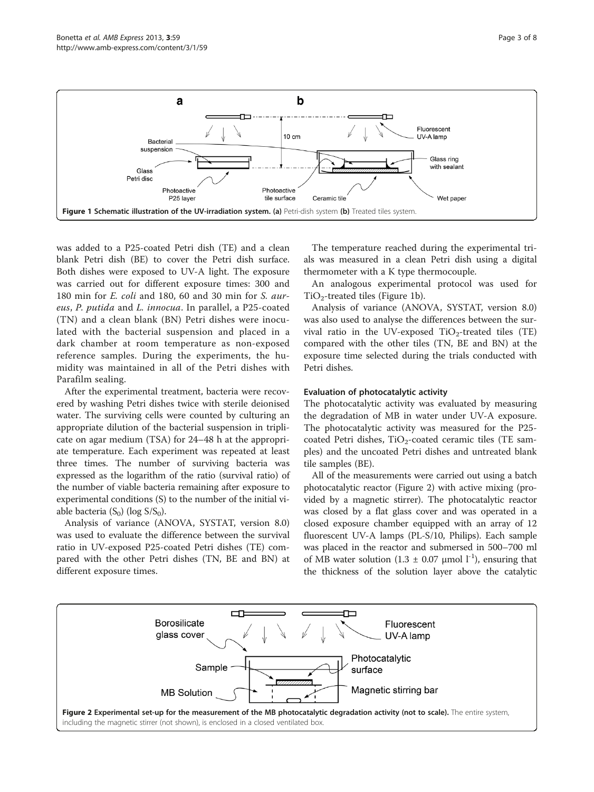<span id="page-2-0"></span>

was added to a P25-coated Petri dish (TE) and a clean blank Petri dish (BE) to cover the Petri dish surface. Both dishes were exposed to UV-A light. The exposure was carried out for different exposure times: 300 and 180 min for E. coli and 180, 60 and 30 min for S. aureus, P. putida and L. innocua. In parallel, a P25-coated (TN) and a clean blank (BN) Petri dishes were inoculated with the bacterial suspension and placed in a dark chamber at room temperature as non-exposed reference samples. During the experiments, the humidity was maintained in all of the Petri dishes with Parafilm sealing.

After the experimental treatment, bacteria were recovered by washing Petri dishes twice with sterile deionised water. The surviving cells were counted by culturing an appropriate dilution of the bacterial suspension in triplicate on agar medium (TSA) for 24–48 h at the appropriate temperature. Each experiment was repeated at least three times. The number of surviving bacteria was expressed as the logarithm of the ratio (survival ratio) of the number of viable bacteria remaining after exposure to experimental conditions (S) to the number of the initial viable bacteria  $(S_0)$  (log  $S/S_0$ ).

Analysis of variance (ANOVA, SYSTAT, version 8.0) was used to evaluate the difference between the survival ratio in UV-exposed P25-coated Petri dishes (TE) compared with the other Petri dishes (TN, BE and BN) at different exposure times.

The temperature reached during the experimental trials was measured in a clean Petri dish using a digital thermometer with a K type thermocouple.

An analogous experimental protocol was used for  $TiO<sub>2</sub>$ -treated tiles (Figure 1b).

Analysis of variance (ANOVA, SYSTAT, version 8.0) was also used to analyse the differences between the survival ratio in the UV-exposed  $TiO<sub>2</sub>$ -treated tiles (TE) compared with the other tiles (TN, BE and BN) at the exposure time selected during the trials conducted with Petri dishes.

## Evaluation of photocatalytic activity

The photocatalytic activity was evaluated by measuring the degradation of MB in water under UV-A exposure. The photocatalytic activity was measured for the P25 coated Petri dishes,  $TiO<sub>2</sub>$ -coated ceramic tiles (TE samples) and the uncoated Petri dishes and untreated blank tile samples (BE).

All of the measurements were carried out using a batch photocatalytic reactor (Figure 2) with active mixing (provided by a magnetic stirrer). The photocatalytic reactor was closed by a flat glass cover and was operated in a closed exposure chamber equipped with an array of 12 fluorescent UV-A lamps (PL-S/10, Philips). Each sample was placed in the reactor and submersed in 500–700 ml of MB water solution (1.3  $\pm$  0.07 µmol l<sup>-1</sup>), ensuring that the thickness of the solution layer above the catalytic

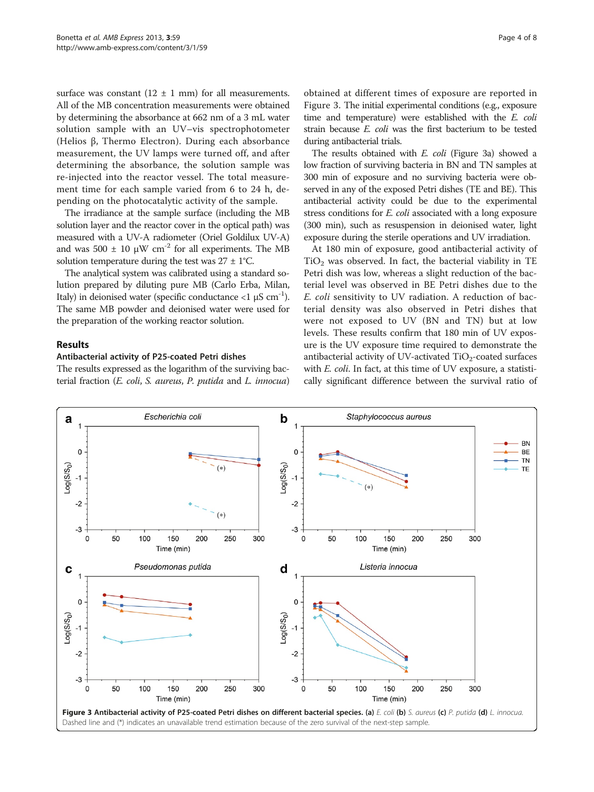<span id="page-3-0"></span>surface was constant  $(12 \pm 1 \text{ mm})$  for all measurements. All of the MB concentration measurements were obtained by determining the absorbance at 662 nm of a 3 mL water solution sample with an UV–vis spectrophotometer (Helios β, Thermo Electron). During each absorbance measurement, the UV lamps were turned off, and after determining the absorbance, the solution sample was re-injected into the reactor vessel. The total measurement time for each sample varied from 6 to 24 h, depending on the photocatalytic activity of the sample.

The irradiance at the sample surface (including the MB solution layer and the reactor cover in the optical path) was measured with a UV-A radiometer (Oriel Goldilux UV-A) and was 500  $\pm$  10  $\mu$ W cm<sup>-2</sup> for all experiments. The MB solution temperature during the test was  $27 \pm 1^{\circ}$ C.

The analytical system was calibrated using a standard solution prepared by diluting pure MB (Carlo Erba, Milan, Italy) in deionised water (specific conductance  $\langle 1 \mu S \text{ cm}^{-1} \rangle$ . The same MB powder and deionised water were used for the preparation of the working reactor solution.

### Results

#### Antibacterial activity of P25-coated Petri dishes

The results expressed as the logarithm of the surviving bacterial fraction (E. coli, S. aureus, P. putida and L. innocua)

obtained at different times of exposure are reported in Figure 3. The initial experimental conditions (e.g., exposure time and temperature) were established with the E. coli strain because E. coli was the first bacterium to be tested during antibacterial trials.

The results obtained with E. coli (Figure 3a) showed a low fraction of surviving bacteria in BN and TN samples at 300 min of exposure and no surviving bacteria were observed in any of the exposed Petri dishes (TE and BE). This antibacterial activity could be due to the experimental stress conditions for *E. coli* associated with a long exposure (300 min), such as resuspension in deionised water, light exposure during the sterile operations and UV irradiation.

At 180 min of exposure, good antibacterial activity of  $TiO<sub>2</sub>$  was observed. In fact, the bacterial viability in TE Petri dish was low, whereas a slight reduction of the bacterial level was observed in BE Petri dishes due to the E. coli sensitivity to UV radiation. A reduction of bacterial density was also observed in Petri dishes that were not exposed to UV (BN and TN) but at low levels. These results confirm that 180 min of UV exposure is the UV exposure time required to demonstrate the antibacterial activity of UV-activated  $TiO<sub>2</sub>$ -coated surfaces with *E. coli.* In fact, at this time of UV exposure, a statistically significant difference between the survival ratio of

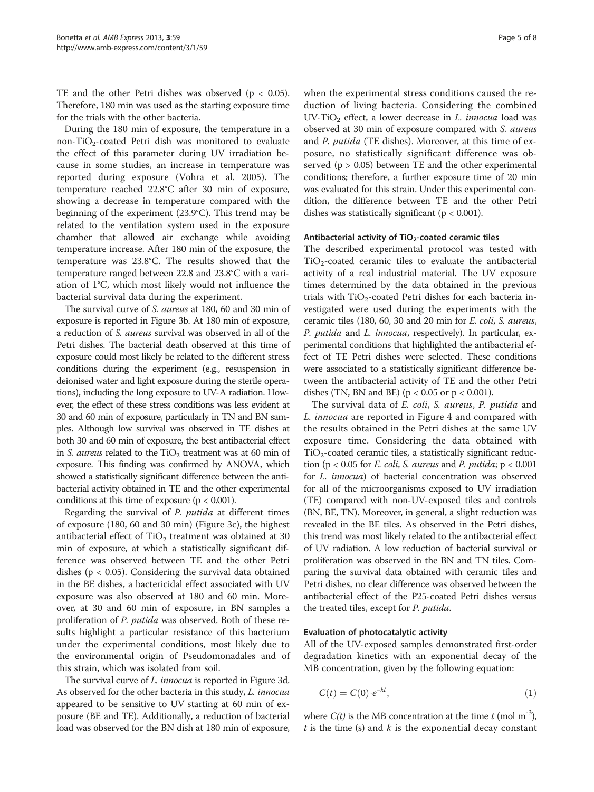<span id="page-4-0"></span>TE and the other Petri dishes was observed ( $p < 0.05$ ). Therefore, 180 min was used as the starting exposure time for the trials with the other bacteria.

During the 180 min of exposure, the temperature in a non-TiO<sub>2</sub>-coated Petri dish was monitored to evaluate the effect of this parameter during UV irradiation because in some studies, an increase in temperature was reported during exposure (Vohra et al. [2005](#page-7-0)). The temperature reached 22.8°C after 30 min of exposure, showing a decrease in temperature compared with the beginning of the experiment (23.9°C). This trend may be related to the ventilation system used in the exposure chamber that allowed air exchange while avoiding temperature increase. After 180 min of the exposure, the temperature was 23.8°C. The results showed that the temperature ranged between 22.8 and 23.8°C with a variation of 1°C, which most likely would not influence the bacterial survival data during the experiment.

The survival curve of S. aureus at 180, 60 and 30 min of exposure is reported in Figure [3b](#page-3-0). At 180 min of exposure, a reduction of S. aureus survival was observed in all of the Petri dishes. The bacterial death observed at this time of exposure could most likely be related to the different stress conditions during the experiment (e.g., resuspension in deionised water and light exposure during the sterile operations), including the long exposure to UV-A radiation. However, the effect of these stress conditions was less evident at 30 and 60 min of exposure, particularly in TN and BN samples. Although low survival was observed in TE dishes at both 30 and 60 min of exposure, the best antibacterial effect in S. aureus related to the  $TiO<sub>2</sub>$  treatment was at 60 min of exposure. This finding was confirmed by ANOVA, which showed a statistically significant difference between the antibacterial activity obtained in TE and the other experimental conditions at this time of exposure ( $p < 0.001$ ).

Regarding the survival of P. putida at different times of exposure (180, 60 and 30 min) (Figure [3c](#page-3-0)), the highest antibacterial effect of  $TiO<sub>2</sub>$  treatment was obtained at 30 min of exposure, at which a statistically significant difference was observed between TE and the other Petri dishes ( $p < 0.05$ ). Considering the survival data obtained in the BE dishes, a bactericidal effect associated with UV exposure was also observed at 180 and 60 min. Moreover, at 30 and 60 min of exposure, in BN samples a proliferation of *P. putida* was observed. Both of these results highlight a particular resistance of this bacterium under the experimental conditions, most likely due to the environmental origin of Pseudomonadales and of this strain, which was isolated from soil.

The survival curve of *L. innocua* is reported in Figure [3](#page-3-0)d. As observed for the other bacteria in this study, *L. innocua* appeared to be sensitive to UV starting at 60 min of exposure (BE and TE). Additionally, a reduction of bacterial load was observed for the BN dish at 180 min of exposure, when the experimental stress conditions caused the reduction of living bacteria. Considering the combined UV-TiO<sub>2</sub> effect, a lower decrease in  $L$ . *innocua* load was observed at 30 min of exposure compared with S. aureus and P. putida (TE dishes). Moreover, at this time of exposure, no statistically significant difference was observed ( $p > 0.05$ ) between TE and the other experimental conditions; therefore, a further exposure time of 20 min was evaluated for this strain. Under this experimental condition, the difference between TE and the other Petri dishes was statistically significant ( $p < 0.001$ ).

#### Antibacterial activity of  $TiO<sub>2</sub>-coated$  ceramic tiles

The described experimental protocol was tested with  $TiO<sub>2</sub>$ -coated ceramic tiles to evaluate the antibacterial activity of a real industrial material. The UV exposure times determined by the data obtained in the previous trials with  $TiO<sub>2</sub>$ -coated Petri dishes for each bacteria investigated were used during the experiments with the ceramic tiles (180, 60, 30 and 20 min for E. coli, S. aureus, P. putida and L. innocua, respectively). In particular, experimental conditions that highlighted the antibacterial effect of TE Petri dishes were selected. These conditions were associated to a statistically significant difference between the antibacterial activity of TE and the other Petri dishes (TN, BN and BE) ( $p < 0.05$  or  $p < 0.001$ ).

The survival data of E. coli, S. aureus, P. putida and L. innocua are reported in Figure [4](#page-5-0) and compared with the results obtained in the Petri dishes at the same UV exposure time. Considering the data obtained with  $TiO<sub>2</sub>$ -coated ceramic tiles, a statistically significant reduction (p < 0.05 for *E. coli, S. aureus* and *P. putida*;  $p < 0.001$ for L. innocua) of bacterial concentration was observed for all of the microorganisms exposed to UV irradiation (TE) compared with non-UV-exposed tiles and controls (BN, BE, TN). Moreover, in general, a slight reduction was revealed in the BE tiles. As observed in the Petri dishes, this trend was most likely related to the antibacterial effect of UV radiation. A low reduction of bacterial survival or proliferation was observed in the BN and TN tiles. Comparing the survival data obtained with ceramic tiles and Petri dishes, no clear difference was observed between the antibacterial effect of the P25-coated Petri dishes versus the treated tiles, except for *P. putida*.

#### Evaluation of photocatalytic activity

All of the UV-exposed samples demonstrated first-order degradation kinetics with an exponential decay of the MB concentration, given by the following equation:

$$
C(t) = C(0) \cdot e^{-kt}, \qquad (1)
$$

where  $C(t)$  is the MB concentration at the time t (mol m<sup>-3</sup>),  $t$  is the time (s) and  $k$  is the exponential decay constant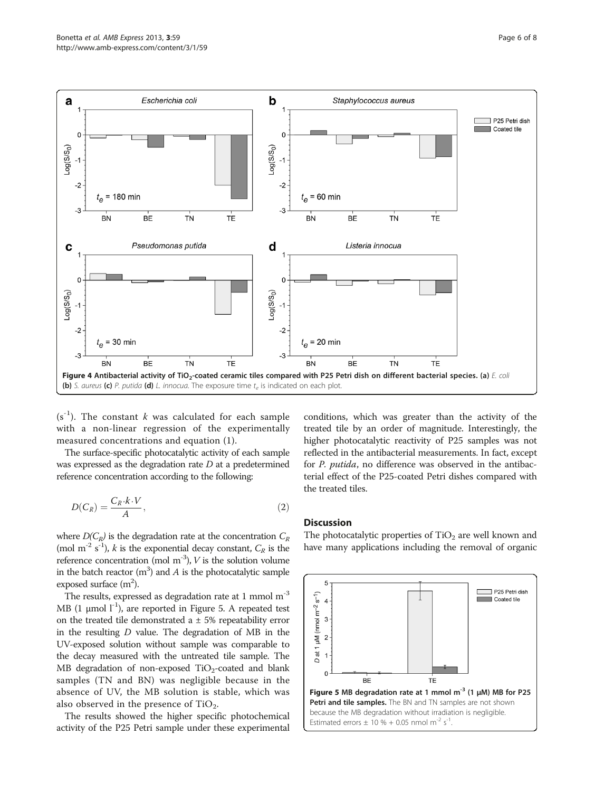<span id="page-5-0"></span>

 $(s<sup>-1</sup>)$ . The constant k was calculated for each sample with a non-linear regression of the experimentally measured concentrations and equation [\(1](#page-4-0)).

The surface-specific photocatalytic activity of each sample was expressed as the degradation rate D at a predetermined reference concentration according to the following:

$$
D(C_R) = \frac{C_R \cdot k \cdot V}{A},\tag{2}
$$

where  $D(C_R)$  is the degradation rate at the concentration  $C_R$ (mol m<sup>-2</sup> s<sup>-1</sup>), *k* is the exponential decay constant,  $C_R$  is the reference concentration (mol  $m^{-3}$ ), V is the solution volume in the batch reactor  $(m^3)$  and A is the photocatalytic sample exposed surface  $(m<sup>2</sup>)$ .

The results, expressed as degradation rate at 1 mmol  $m^{-3}$ MB  $(1 \mu \text{mol } l^{-1})$ , are reported in Figure 5. A repeated test on the treated tile demonstrated a  $\pm$  5% repeatability error in the resulting  $D$  value. The degradation of MB in the UV-exposed solution without sample was comparable to the decay measured with the untreated tile sample. The MB degradation of non-exposed  $TiO<sub>2</sub>$ -coated and blank samples (TN and BN) was negligible because in the absence of UV, the MB solution is stable, which was also observed in the presence of  $TiO<sub>2</sub>$ .

The results showed the higher specific photochemical activity of the P25 Petri sample under these experimental

conditions, which was greater than the activity of the treated tile by an order of magnitude. Interestingly, the higher photocatalytic reactivity of P25 samples was not reflected in the antibacterial measurements. In fact, except for P. putida, no difference was observed in the antibacterial effect of the P25-coated Petri dishes compared with the treated tiles.

#### **Discussion**

The photocatalytic properties of  $TiO<sub>2</sub>$  are well known and have many applications including the removal of organic

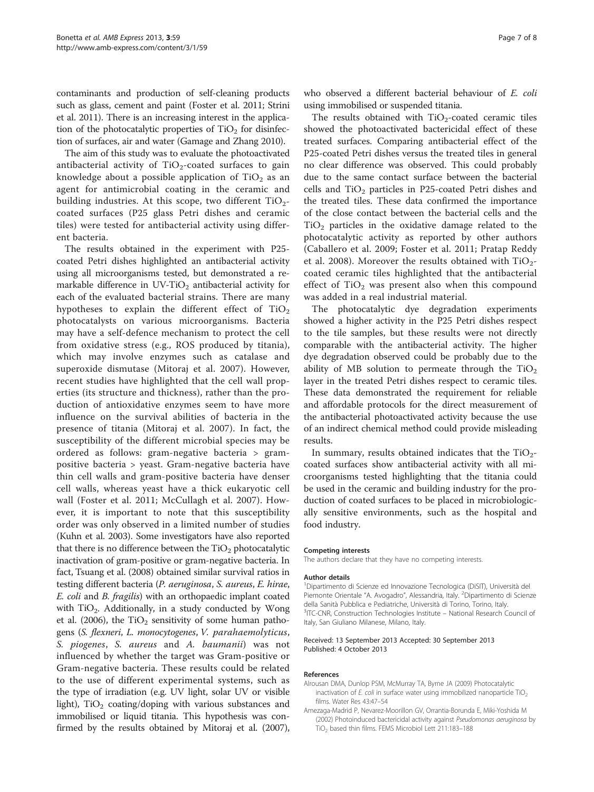<span id="page-6-0"></span>contaminants and production of self-cleaning products such as glass, cement and paint (Foster et al. [2011](#page-7-0); Strini et al. [2011](#page-7-0)). There is an increasing interest in the application of the photocatalytic properties of  $TiO<sub>2</sub>$  for disinfection of surfaces, air and water (Gamage and Zhang [2010](#page-7-0)).

The aim of this study was to evaluate the photoactivated antibacterial activity of  $TiO<sub>2</sub>$ -coated surfaces to gain knowledge about a possible application of  $TiO<sub>2</sub>$  as an agent for antimicrobial coating in the ceramic and building industries. At this scope, two different  $TiO<sub>2</sub>$ coated surfaces (P25 glass Petri dishes and ceramic tiles) were tested for antibacterial activity using different bacteria.

The results obtained in the experiment with P25 coated Petri dishes highlighted an antibacterial activity using all microorganisms tested, but demonstrated a remarkable difference in  $UV-TiO<sub>2</sub>$  antibacterial activity for each of the evaluated bacterial strains. There are many hypotheses to explain the different effect of  $TiO<sub>2</sub>$ photocatalysts on various microorganisms. Bacteria may have a self-defence mechanism to protect the cell from oxidative stress (e.g., ROS produced by titania), which may involve enzymes such as catalase and superoxide dismutase (Mitoraj et al. [2007](#page-7-0)). However, recent studies have highlighted that the cell wall properties (its structure and thickness), rather than the production of antioxidative enzymes seem to have more influence on the survival abilities of bacteria in the presence of titania (Mitoraj et al. [2007](#page-7-0)). In fact, the susceptibility of the different microbial species may be ordered as follows: gram-negative bacteria > grampositive bacteria > yeast. Gram-negative bacteria have thin cell walls and gram-positive bacteria have denser cell walls, whereas yeast have a thick eukaryotic cell wall (Foster et al. [2011](#page-7-0); McCullagh et al. [2007\)](#page-7-0). However, it is important to note that this susceptibility order was only observed in a limited number of studies (Kuhn et al. [2003\)](#page-7-0). Some investigators have also reported that there is no difference between the  $TiO<sub>2</sub>$  photocatalytic inactivation of gram-positive or gram-negative bacteria. In fact, Tsuang et al. ([2008](#page-7-0)) obtained similar survival ratios in testing different bacteria (P. aeruginosa, S. aureus, E. hirae, E. coli and B. fragilis) with an orthopaedic implant coated with  $TiO<sub>2</sub>$ . Additionally, in a study conducted by Wong et al. ([2006](#page-7-0)), the  $TiO<sub>2</sub>$  sensitivity of some human pathogens (S. flexneri, L. monocytogenes, V. parahaemolyticus, S. piogenes, S. aureus and A. baumanii) was not influenced by whether the target was Gram-positive or Gram-negative bacteria. These results could be related to the use of different experimental systems, such as the type of irradiation (e.g. UV light, solar UV or visible light),  $TiO<sub>2</sub>$  coating/doping with various substances and immobilised or liquid titania. This hypothesis was confirmed by the results obtained by Mitoraj et al. [\(2007](#page-7-0)), who observed a different bacterial behaviour of E. coli using immobilised or suspended titania.

The results obtained with  $TiO<sub>2</sub>$ -coated ceramic tiles showed the photoactivated bactericidal effect of these treated surfaces. Comparing antibacterial effect of the P25-coated Petri dishes versus the treated tiles in general no clear difference was observed. This could probably due to the same contact surface between the bacterial cells and  $TiO<sub>2</sub>$  particles in P25-coated Petri dishes and the treated tiles. These data confirmed the importance of the close contact between the bacterial cells and the  $TiO<sub>2</sub>$  particles in the oxidative damage related to the photocatalytic activity as reported by other authors (Caballero et al. [2009](#page-7-0); Foster et al. [2011](#page-7-0); Pratap Reddy et al. [2008\)](#page-7-0). Moreover the results obtained with  $TiO<sub>2</sub>$ coated ceramic tiles highlighted that the antibacterial effect of  $TiO<sub>2</sub>$  was present also when this compound was added in a real industrial material.

The photocatalytic dye degradation experiments showed a higher activity in the P25 Petri dishes respect to the tile samples, but these results were not directly comparable with the antibacterial activity. The higher dye degradation observed could be probably due to the ability of MB solution to permeate through the  $TiO<sub>2</sub>$ layer in the treated Petri dishes respect to ceramic tiles. These data demonstrated the requirement for reliable and affordable protocols for the direct measurement of the antibacterial photoactivated activity because the use of an indirect chemical method could provide misleading results.

In summary, results obtained indicates that the  $TiO<sub>2</sub>$ coated surfaces show antibacterial activity with all microorganisms tested highlighting that the titania could be used in the ceramic and building industry for the production of coated surfaces to be placed in microbiologically sensitive environments, such as the hospital and food industry.

#### Competing interests

The authors declare that they have no competing interests.

#### Author details

1 Dipartimento di Scienze ed Innovazione Tecnologica (DiSIT), Università del Piemonte Orientale "A. Avogadro", Alessandria, Italy. <sup>2</sup>Dipartimento di Scienze della Sanità Pubblica e Pediatriche, Università di Torino, Torino, Italy. <sup>3</sup>ITC-CNR, Construction Technologies Institute - National Research Council of Italy, San Giuliano Milanese, Milano, Italy.

#### Received: 13 September 2013 Accepted: 30 September 2013 Published: 4 October 2013

#### References

- Alrousan DMA, Dunlop PSM, McMurray TA, Byrne JA (2009) Photocatalytic inactivation of  $E$ . coli in surface water using immobilized nanoparticle  $TiO<sub>2</sub>$ films. Water Res 43:47–54
- Amezaga-Madrid P, Nevarez-Moorillon GV, Orrantia-Borunda E, Miki-Yoshida M (2002) Photoinduced bactericidal activity against Pseudomonas aeruginosa by TiO<sub>2</sub> based thin films. FEMS Microbiol Lett 211:183-188